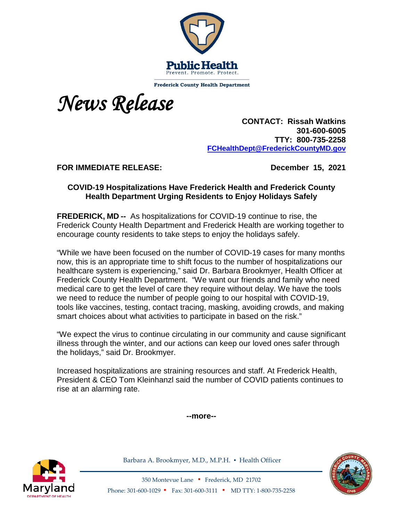

**Frederick County Health Department** 



 **CONTACT: Rissah Watkins 301-600-6005 TTY: 800-735-2258 [FCHealthDept@FrederickCountyMD.gov](mailto:RWatkinsFCHealthDept@FrederickCountyMD.gov)**

**FOR IMMEDIATE RELEASE: December 15, 2021**

## **COVID-19 Hospitalizations Have Frederick Health and Frederick County Health Department Urging Residents to Enjoy Holidays Safely**

**FREDERICK, MD --** As hospitalizations for COVID-19 continue to rise, the Frederick County Health Department and Frederick Health are working together to encourage county residents to take steps to enjoy the holidays safely.

"While we have been focused on the number of COVID-19 cases for many months now, this is an appropriate time to shift focus to the number of hospitalizations our healthcare system is experiencing," said Dr. Barbara Brookmyer, Health Officer at Frederick County Health Department. "We want our friends and family who need medical care to get the level of care they require without delay. We have the tools we need to reduce the number of people going to our hospital with COVID-19, tools like vaccines, testing, contact tracing, masking, avoiding crowds, and making smart choices about what activities to participate in based on the risk."

"We expect the virus to continue circulating in our community and cause significant illness through the winter, and our actions can keep our loved ones safer through the holidays," said Dr. Brookmyer.

Increased hospitalizations are straining resources and staff. At Frederick Health, President & CEO Tom Kleinhanzl said the number of COVID patients continues to rise at an alarming rate.

**--more--**



Barbara A. Brookmyer, M.D., M.P.H. · Health Officer



350 Montevue Lane ▪ Frederick, MD 21702 Phone: 301-600-1029 ▪ Fax: 301-600-3111 ▪ MD TTY: 1-800-735-2258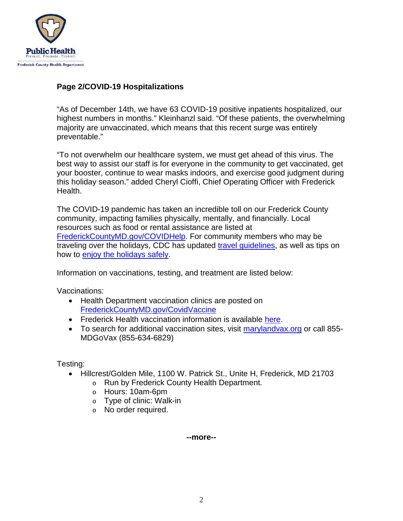

## **Page 2/COVID-19 Hospitalizations**

"As of December 14th, we have 63 COVID-19 positive inpatients hospitalized, our highest numbers in months." Kleinhanzl said. "Of these patients, the overwhelming majority are unvaccinated, which means that this recent surge was entirely preventable."

"To not overwhelm our healthcare system, we must get ahead of this virus. The best way to assist our staff is for everyone in the community to get vaccinated, get your booster, continue to wear masks indoors, and exercise good judgment during this holiday season." added Cheryl Cioffi, Chief Operating Officer with Frederick Health.

The COVID-19 pandemic has taken an incredible toll on our Frederick County community, impacting families physically, mentally, and financially. Local resources such as food or rental assistance are listed at [FrederickCountyMD.gov/COVIDHelp.](https://www.frederickcountymd.gov/COVIDHelp) For community members who may be traveling over the holidays, CDC has updated [travel guidelines,](https://www.cdc.gov/coronavirus/2019-ncov/travelers/index.html) as well as tips on how to [enjoy the holidays safely.](https://www.cdc.gov/coronavirus/2019-ncov/daily-life-coping/holidays/celebrations.html)

Information on vaccinations, testing, and treatment are listed below:

Vaccinations:

- Health Department vaccination clinics are posted on [FrederickCountyMD.gov/CovidVaccine](https://health.frederickcountymd.gov/629/COVID-19-Vaccine)
- Frederick Health vaccination information is available [here.](https://www.frederickhealth.org/patients-visitors/covid-19-information/get-the-covid-19-vaccine/)
- To search for additional vaccination sites, visit [marylandvax.org](https://www.marylandvax.org/appointment/en/clinic/search) or call 855-MDGoVax (855-634-6829)

Testing:

- Hillcrest/Golden Mile, 1100 W. Patrick St., Unite H, Frederick, MD 21703
	- o Run by Frederick County Health Department.
	- o Hours: 10am-6pm
	- o Type of clinic: Walk-in
	- o No order required.

**--more--**